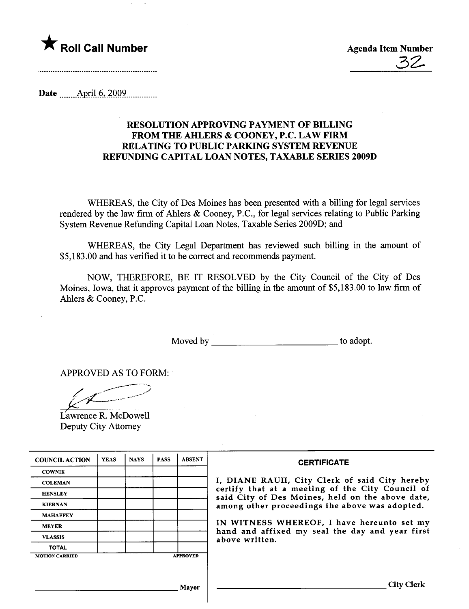

Date muuAp.d-l9-..2QQ9..uummm

## RESOLUTION APPROVING PAYMENT OF BILLING FROM THE AHLERS & COONEY, P.C. LAW FIRM RELATING TO PUBLIC PARKING SYSTEM REVENUE REFUNDING CAPITAL LOAN NOTES, TAXABLE SERIES 2009D

WHEREAS, the City of Des Moines has been presented with a biling for legal services rendered by the law firm of Ahers & Cooney, P.C., for legal services relating to Public Parking System Revenue Refuding Capital Loan Notes, Taxable Series 2009D; and

WHEREAS, the City Legal Department has reviewed such billing in the amount of \$5,183.00 and has verified it to be correct and recommends payment.

NOW, THEREFORE, BE IT RESOLVED by the City Council of the City of Des Moines, Iowa, that it approves payment of the biling in the amount of \$5,183.00 to law firm of Ahlers & Cooney, P.C.

Moved by to adopt.

APPROVED AS TO FORM:

/. ~.'"..----=.==~)  $k$   $\overline{r}$ 

Lawrence R. McDowell Deputy City Attorney

| <b>COUNCIL ACTION</b> | <b>YEAS</b> | <b>NAYS</b> | <b>PASS</b> | <b>ABSENT</b>   | <b>CERTIFICATE</b>                                                                                                                                     |  |  |
|-----------------------|-------------|-------------|-------------|-----------------|--------------------------------------------------------------------------------------------------------------------------------------------------------|--|--|
| <b>COWNIE</b>         |             |             |             |                 |                                                                                                                                                        |  |  |
| <b>COLEMAN</b>        |             |             |             |                 | I, DIANE RAUH, City Clerk of said City hereby                                                                                                          |  |  |
| <b>HENSLEY</b>        |             |             |             |                 | certify that at a meeting of the City Council of<br>said City of Des Moines, held on the above date,<br>among other proceedings the above was adopted. |  |  |
| <b>KIERNAN</b>        |             |             |             |                 |                                                                                                                                                        |  |  |
| <b>MAHAFFEY</b>       |             |             |             |                 |                                                                                                                                                        |  |  |
| <b>MEYER</b>          |             |             |             |                 | IN WITNESS WHEREOF, I have hereunto set my<br>hand and affixed my seal the day and year first<br>above written.                                        |  |  |
| <b>VLASSIS</b>        |             |             |             |                 |                                                                                                                                                        |  |  |
| <b>TOTAL</b>          |             |             |             |                 |                                                                                                                                                        |  |  |
| <b>MOTION CARRIED</b> |             |             |             | <b>APPROVED</b> |                                                                                                                                                        |  |  |
|                       |             |             |             |                 |                                                                                                                                                        |  |  |
|                       |             |             |             | Mavor           | <b>City Clerk</b>                                                                                                                                      |  |  |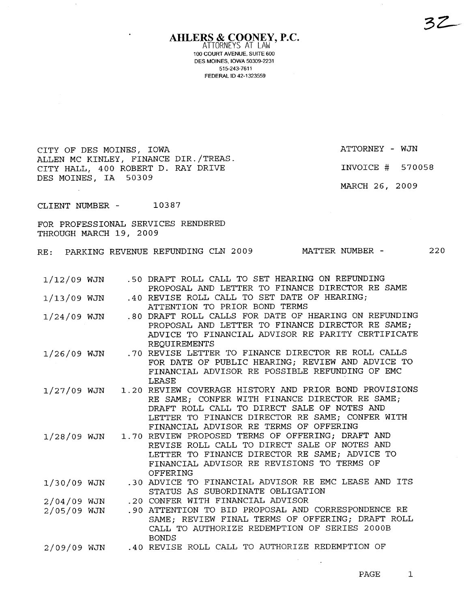AHLERS & COONEY, P.C. ATTORNEYS AT LAW 100 COURT AVENUE, SUITE 600 DES MOINES. IOWA 50309-2231 515-243-7611 FEDERAL ID 42-1323559

CITY OF DES MOINES, IOWA **ATTORNEY - WJN** ALLEN MC KINLEY, FINANCE DIR. /TREAS . CITY HALL, 400 ROBERT D. RAY DRIVE DES MOINES, IA 50309

 $\bar{\mathcal{A}}$ 

INVOICE # 570058

MACH 26, 2009

CLIENT NUMBER - 10387

FOR PROFESSIONAL SERVICES RENDERED THROUGH MARCH 19, 2009

RE: PARKING REVENUE REFUNDING CLN 2009 MATTER NUMBER - 220

| $1/12/09$ WJN |  | .50 DRAFT ROLL CALL TO SET HEARING ON REFUNDING                 |
|---------------|--|-----------------------------------------------------------------|
|               |  | PROPOSAL AND LETTER TO FINANCE DIRECTOR RE SAME                 |
| $1/13/09$ WJN |  | .40 REVISE ROLL CALL TO SET DATE OF HEARING;                    |
|               |  | ATTENTION TO PRIOR BOND TERMS                                   |
| 1/24/09 WJN   |  | .80 DRAFT ROLL CALLS FOR DATE OF HEARING ON REFUNDING           |
|               |  | PROPOSAL AND LETTER TO FINANCE DIRECTOR RE SAME;                |
|               |  | ADVICE TO FINANCIAL ADVISOR RE PARITY CERTIFICATE               |
|               |  | <b>REOUIREMENTS</b>                                             |
|               |  | 1/26/09 WJN .70 REVISE LETTER TO FINANCE DIRECTOR RE ROLL CALLS |
|               |  | FOR DATE OF PUBLIC HEARING; REVIEW AND ADVICE TO                |
|               |  | FINANCIAL ADVISOR RE POSSIBLE REFUNDING OF EMC                  |
|               |  | LEASE                                                           |
| 1/27/09 WJN   |  | 1.20 REVIEW COVERAGE HISTORY AND PRIOR BOND PROVISIONS          |
|               |  | RE SAME: CONFER WITH FINANCE DIRECTOR RE SAME;                  |
|               |  | DRAFT ROLL CALL TO DIRECT SALE OF NOTES AND                     |
|               |  | LETTER TO FINANCE DIRECTOR RE SAME; CONFER WITH                 |
|               |  | FINANCIAL ADVISOR RE TERMS OF OFFERING                          |
|               |  | 1/28/09 WJN 1.70 REVIEW PROPOSED TERMS OF OFFERING; DRAFT AND   |
|               |  | REVISE ROLL CALL TO DIRECT SALE OF NOTES AND                    |
|               |  | LETTER TO FINANCE DIRECTOR RE SAME; ADVICE TO                   |
|               |  | FINANCIAL ADVISOR RE REVISIONS TO TERMS OF                      |
|               |  | OFFERING                                                        |
| 1/30/09 WJN   |  | .30 ADVICE TO FINANCIAL ADVISOR RE EMC LEASE AND ITS            |
|               |  | STATUS AS SUBORDINATE OBLIGATION                                |
| $2/04/09$ WJN |  | .20 CONFER WITH FINANCIAL ADVISOR                               |
| $2/05/09$ WJN |  | .90 ATTENTION TO BID PROPOSAL AND CORRESPONDENCE RE             |
|               |  | SAME; REVIEW FINAL TERMS OF OFFERING; DRAFT ROLL                |
|               |  | CALL TO AUTHORIZE REDEMPTION OF SERIES 2000B                    |
|               |  | <b>BONDS</b>                                                    |
|               |  | 2/09/09 WJN .40 REVISE ROLL CALL TO AUTHORIZE REDEMPTION OF     |
|               |  |                                                                 |

 $\sim 10^{-10}$  km  $^{-1}$ 

 $\sim$ 

32-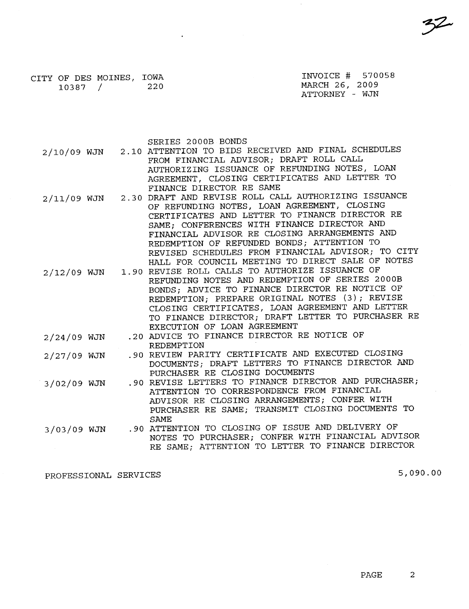| CITY OF DES MOINES, IOWA<br>10387 / | $\sim 1000$ km s $^{-1}$<br>220                                                                                                                                                                                                                                                                                                                                                                                          | INVOICE # 570058<br>MARCH 26, 2009<br>ATTORNEY - WJN |
|-------------------------------------|--------------------------------------------------------------------------------------------------------------------------------------------------------------------------------------------------------------------------------------------------------------------------------------------------------------------------------------------------------------------------------------------------------------------------|------------------------------------------------------|
|                                     |                                                                                                                                                                                                                                                                                                                                                                                                                          |                                                      |
|                                     | SERIES 2000B BONDS<br>2/10/09 WJN 2.10 ATTENTION TO BIDS RECEIVED AND FINAL SCHEDULES<br>FROM FINANCIAL ADVISOR; DRAFT ROLL CALL<br>AUTHORIZING ISSUANCE OF REFUNDING NOTES, LOAN<br>AGREEMENT, CLOSING CERTIFICATES AND LETTER TO<br>FINANCE DIRECTOR RE SAME                                                                                                                                                           |                                                      |
|                                     | 2/11/09 WJN 2.30 DRAFT AND REVISE ROLL CALL AUTHORIZING ISSUANCE<br>OF REFUNDING NOTES, LOAN AGREEMENT, CLOSING<br>CERTIFICATES AND LETTER TO FINANCE DIRECTOR RE<br>SAME; CONFERENCES WITH FINANCE DIRECTOR AND<br>FINANCIAL ADVISOR RE CLOSING ARRANGEMENTS AND<br>REDEMPTION OF REFUNDED BONDS; ATTENTION TO<br>REVISED SCHEDULES FROM FINANCIAL ADVISOR; TO CITY<br>HALL FOR COUNCIL MEETING TO DIRECT SALE OF NOTES |                                                      |
|                                     | 2/12/09 WJN 1.90 REVISE ROLL CALLS TO AUTHORIZE ISSUANCE OF<br>REFUNDING NOTES AND REDEMPTION OF SERIES 2000B<br>BONDS; ADVICE TO FINANCE DIRECTOR RE NOTICE OF<br>REDEMPTION; PREPARE ORIGINAL NOTES (3); REVISE<br>CLOSING CERTIFICATES, LOAN AGREEMENT AND LETTER<br>TO FINANCE DIRECTOR; DRAFT LETTER TO PURCHASER RE<br>EXECUTION OF LOAN AGREEMENT                                                                 |                                                      |
| $2/24/09$ WJN                       | .20 ADVICE TO FINANCE DIRECTOR RE NOTICE OF<br>REDEMPTION                                                                                                                                                                                                                                                                                                                                                                |                                                      |
| $2/27/09$ WJN                       | .90 REVIEW PARITY CERTIFICATE AND EXECUTED CLOSING<br>DOCUMENTS; DRAFT LETTERS TO FINANCE DIRECTOR AND<br>PURCHASER RE CLOSING DOCUMENTS                                                                                                                                                                                                                                                                                 |                                                      |
| 3/02/09 WJN                         | .90 REVISE LETTERS TO FINANCE DIRECTOR AND PURCHASER;<br>ATTENTION TO CORRESPONDENCE FROM FINANCIAL<br>ADVISOR RE CLOSING ARRANGEMENTS; CONFER WITH<br>PURCHASER RE SAME; TRANSMIT CLOSING DOCUMENTS TO<br><b>SAME</b>                                                                                                                                                                                                   |                                                      |
| 3/03/09 WJN                         | .90 ATTENTION TO CLOSING OF ISSUE AND DELIVERY OF<br>NOTES TO PURCHASER; CONFER WITH FINANCIAL ADVISOR<br>RE SAME; ATTENTION TO LETTER TO FINANCE DIRECTOR                                                                                                                                                                                                                                                               |                                                      |

 $\ddot{\phantom{a}}$ 

PROFESSIONAL SERVICES 5,090.00

**32**